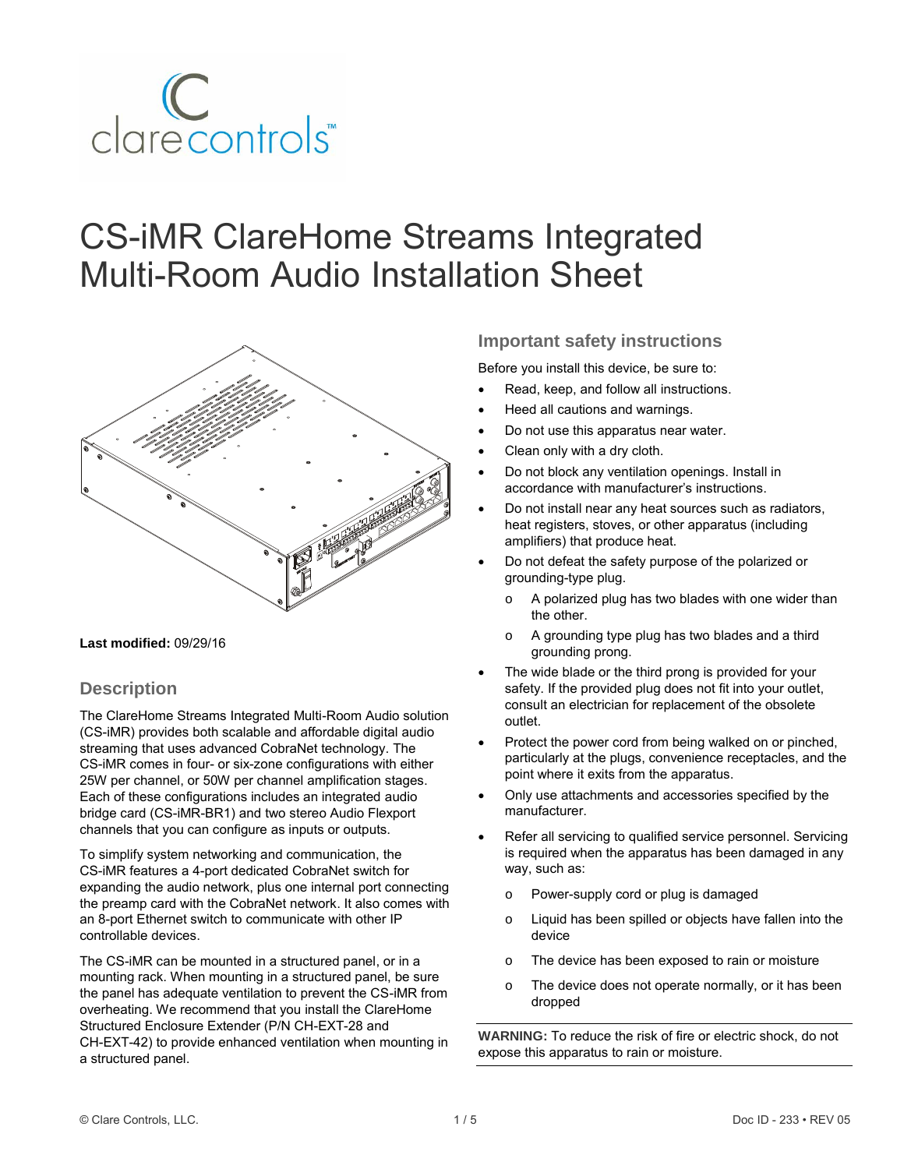

# CS-iMR ClareHome Streams Integrated Multi-Room Audio Installation Sheet



#### **Last modified:** 09/29/16

### **Description**

The ClareHome Streams Integrated Multi-Room Audio solution (CS-iMR) provides both scalable and affordable digital audio streaming that uses advanced CobraNet technology. The CS-iMR comes in four- or six-zone configurations with either 25W per channel, or 50W per channel amplification stages. Each of these configurations includes an integrated audio bridge card (CS-iMR-BR1) and two stereo Audio Flexport channels that you can configure as inputs or outputs.

To simplify system networking and communication, the CS-iMR features a 4-port dedicated CobraNet switch for expanding the audio network, plus one internal port connecting the preamp card with the CobraNet network. It also comes with an 8-port Ethernet switch to communicate with other IP controllable devices.

The CS-iMR can be mounted in a structured panel, or in a mounting rack. When mounting in a structured panel, be sure the panel has adequate ventilation to prevent the CS-iMR from overheating. We recommend that you install the ClareHome Structured Enclosure Extender (P/N CH-EXT-28 and CH-EXT-42) to provide enhanced ventilation when mounting in a structured panel.

### **Important safety instructions**

Before you install this device, be sure to:

- Read, keep, and follow all instructions.
- Heed all cautions and warnings.
- Do not use this apparatus near water.
- Clean only with a dry cloth.
- Do not block any ventilation openings. Install in accordance with manufacturer's instructions.
- Do not install near any heat sources such as radiators, heat registers, stoves, or other apparatus (including amplifiers) that produce heat.
- Do not defeat the safety purpose of the polarized or grounding-type plug.
	- o A polarized plug has two blades with one wider than the other.
	- o A grounding type plug has two blades and a third grounding prong.
- The wide blade or the third prong is provided for your safety. If the provided plug does not fit into your outlet, consult an electrician for replacement of the obsolete outlet.
- Protect the power cord from being walked on or pinched, particularly at the plugs, convenience receptacles, and the point where it exits from the apparatus.
- Only use attachments and accessories specified by the manufacturer.
- Refer all servicing to qualified service personnel. Servicing is required when the apparatus has been damaged in any way, such as:
	- o Power-supply cord or plug is damaged
	- o Liquid has been spilled or objects have fallen into the device
	- o The device has been exposed to rain or moisture
	- o The device does not operate normally, or it has been dropped

**WARNING:** To reduce the risk of fire or electric shock, do not expose this apparatus to rain or moisture.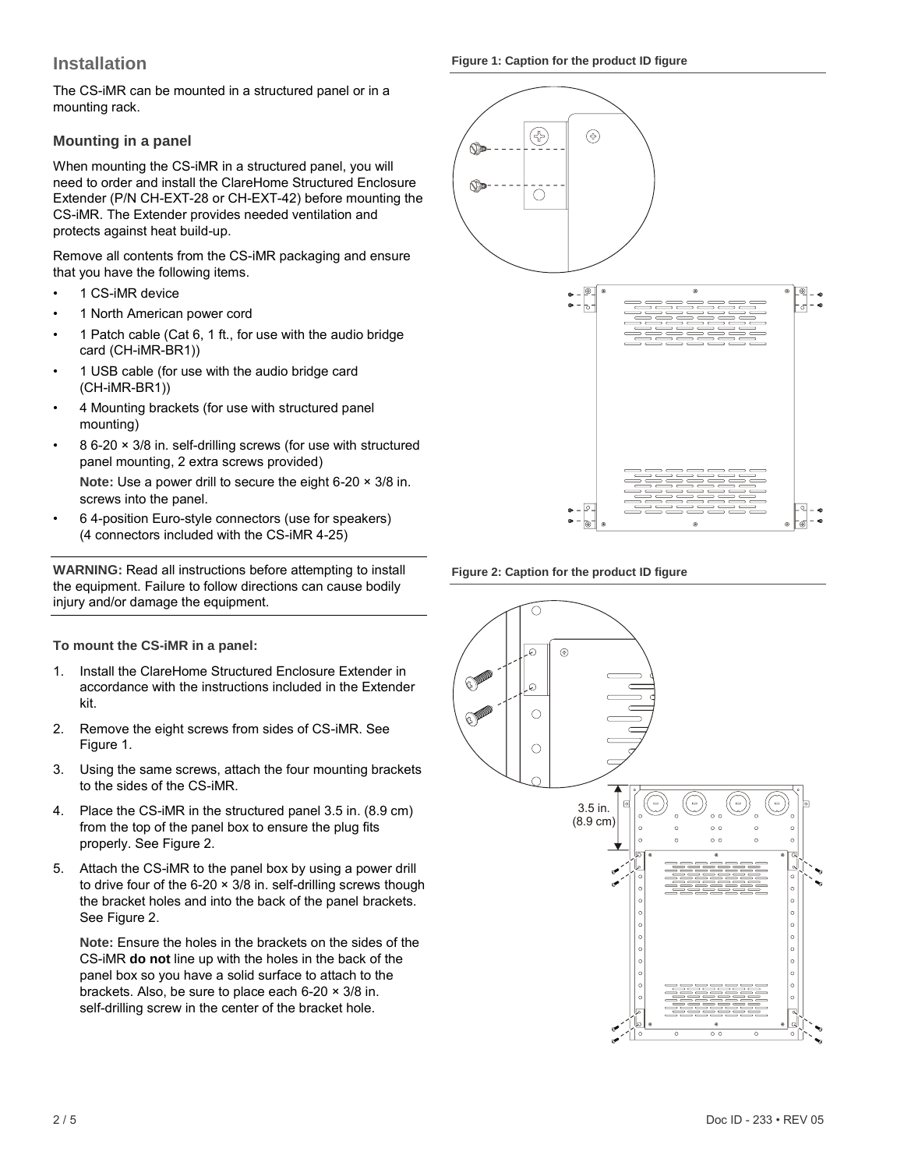### **Installation**

The CS-iMR can be mounted in a structured panel or in a mounting rack.

### **Mounting in a panel**

When mounting the CS-iMR in a structured panel, you will need to order and install the ClareHome Structured Enclosure Extender (P/N CH-EXT-28 or CH-EXT-42) before mounting the CS-iMR. The Extender provides needed ventilation and protects against heat build-up.

Remove all contents from the CS-iMR packaging and ensure that you have the following items.

- 1 CS-iMR device
- 1 North American power cord
- 1 Patch cable (Cat 6, 1 ft., for use with the audio bridge card (CH-iMR-BR1))
- 1 USB cable (for use with the audio bridge card (CH-iMR-BR1))
- 4 Mounting brackets (for use with structured panel mounting)
- 8 6-20 × 3/8 in. self-drilling screws (for use with structured panel mounting, 2 extra screws provided)

**Note:** Use a power drill to secure the eight 6-20 × 3/8 in. screws into the panel.

• 6 4-position Euro-style connectors (use for speakers) (4 connectors included with the CS-iMR 4-25)

**WARNING:** Read all instructions before attempting to install the equipment. Failure to follow directions can cause bodily injury and/or damage the equipment.

### **To mount the CS-iMR in a panel:**

- 1. Install the ClareHome Structured Enclosure Extender in accordance with the instructions included in the Extender kit.
- 2. Remove the eight screws from sides of CS-iMR. See Figure 1.
- 3. Using the same screws, attach the four mounting brackets to the sides of the CS-iMR.
- 4. Place the CS-iMR in the structured panel 3.5 in. (8.9 cm) from the top of the panel box to ensure the plug fits properly. See Figure 2.
- 5. Attach the CS-iMR to the panel box by using a power drill to drive four of the 6-20 × 3/8 in. self-drilling screws though the bracket holes and into the back of the panel brackets. See Figure 2.

**Note:** Ensure the holes in the brackets on the sides of the CS-iMR **do not** line up with the holes in the back of the panel box so you have a solid surface to attach to the brackets. Also, be sure to place each 6-20 × 3/8 in. self-drilling screw in the center of the bracket hole.

**Figure 1: Caption for the product ID figure**



**Figure 2: Caption for the product ID figure**

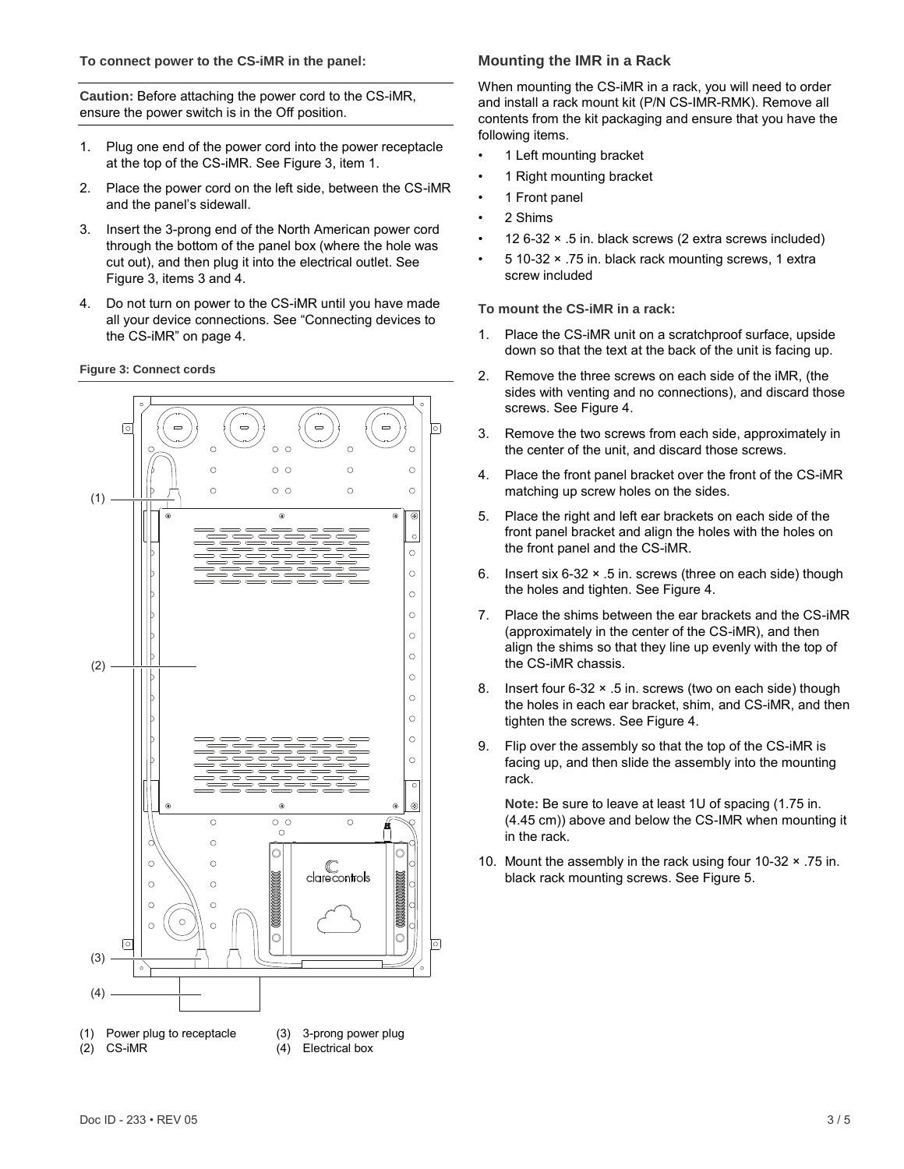#### **To connect power to the CS-iMR in the panel:**

**Caution:** Before attaching the power cord to the CS-iMR, ensure the power switch is in the Off position.

- 1. Plug one end of the power cord into the power receptacle at the top of the CS-iMR. See Figure 3, item 1.
- 2. Place the power cord on the left side, between the CS-iMR and the panel's sidewall.
- 3. Insert the 3-prong end of the North American power cord through the bottom of the panel box (where the hole was cut out), and then plug it into the electrical outlet. See Figure 3, items 3 and 4.
- 4. Do not turn on power to the CS-iMR until you have made all your device connections. See ["Connecting devices to](#page-3-0)  [the CS-iMR"](#page-3-0) on page [4.](#page-3-0)

#### **Figure 3: Connect cords**



#### **Mounting the IMR in a Rack**

When mounting the CS-iMR in a rack, you will need to order and install a rack mount kit (P/N CS-IMR-RMK). Remove all contents from the kit packaging and ensure that you have the following items.

- 1 Left mounting bracket
- 1 Right mounting bracket
- 1 Front panel
- 2 Shims
- 12 6-32 × .5 in. black screws (2 extra screws included)
- 5 10-32 × .75 in. black rack mounting screws, 1 extra screw included

**To mount the CS-iMR in a rack:**

- 1. Place the CS-iMR unit on a scratchproof surface, upside down so that the text at the back of the unit is facing up.
- 2. Remove the three screws on each side of the iMR, (the sides with venting and no connections), and discard those screws. See Figure 4.
- 3. Remove the two screws from each side, approximately in the center of the unit, and discard those screws.
- 4. Place the front panel bracket over the front of the CS-iMR matching up screw holes on the sides.
- 5. Place the right and left ear brackets on each side of the front panel bracket and align the holes with the holes on the front panel and the CS-iMR.
- 6. Insert six 6-32 × .5 in. screws (three on each side) though the holes and tighten. See Figure 4.
- 7. Place the shims between the ear brackets and the CS-iMR (approximately in the center of the CS-iMR), and then align the shims so that they line up evenly with the top of the CS-iMR chassis.
- 8. Insert four 6-32 × .5 in. screws (two on each side) though the holes in each ear bracket, shim, and CS-iMR, and then tighten the screws. See Figure 4.
- 9. Flip over the assembly so that the top of the CS-iMR is facing up, and then slide the assembly into the mounting rack.

**Note:** Be sure to leave at least 1U of spacing (1.75 in. (4.45 cm)) above and below the CS-IMR when mounting it in the rack.

10. Mount the assembly in the rack using four 10-32 × .75 in. black rack mounting screws. See Figure 5.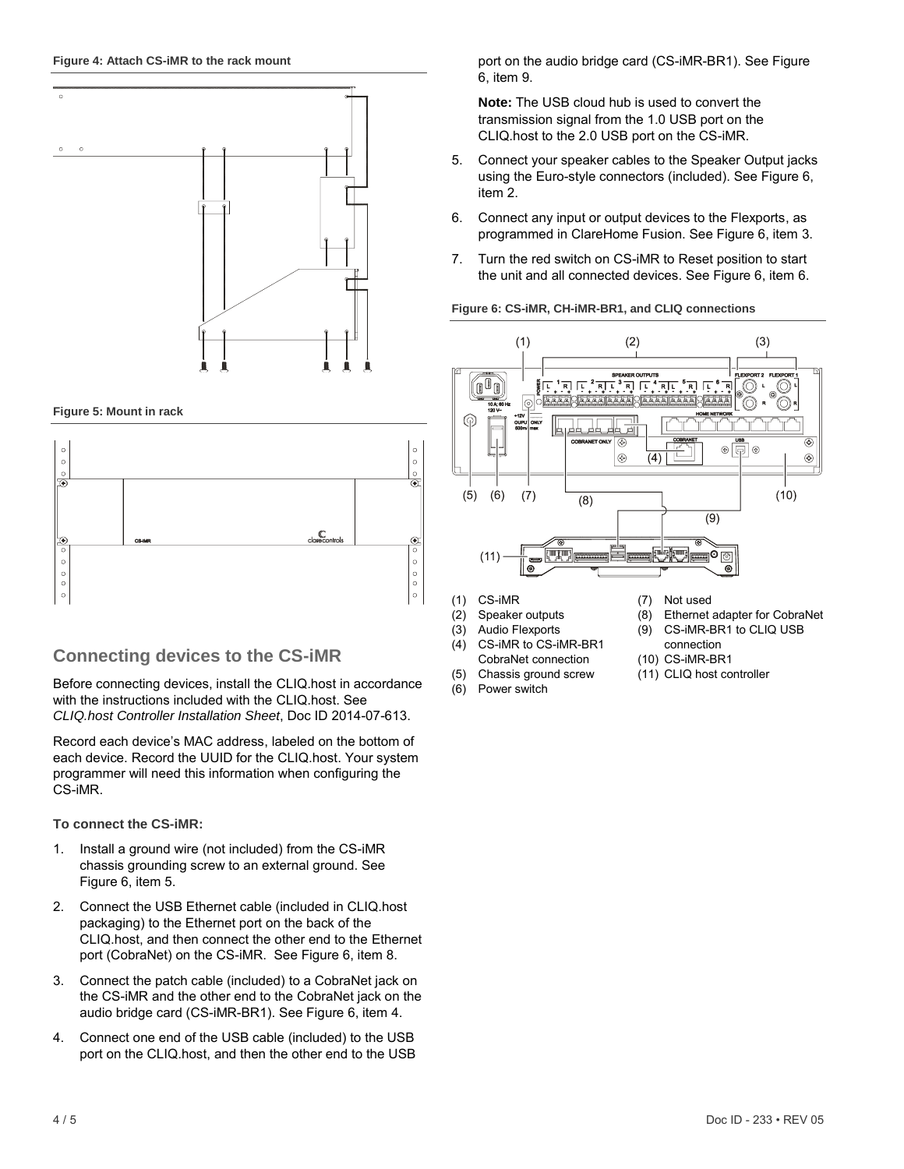

**Figure 5: Mount in rack**



### <span id="page-3-0"></span>**Connecting devices to the CS-iMR**

Before connecting devices, install the CLIQ.host in accordance with the instructions included with the CLIQ.host. See *CLIQ.host Controller Installation Sheet*, Doc ID 2014-07-613.

Record each device's MAC address, labeled on the bottom of each device. Record the UUID for the CLIQ.host. Your system programmer will need this information when configuring the CS-iMR.

**To connect the CS-iMR:**

- 1. Install a ground wire (not included) from the CS-iMR chassis grounding screw to an external ground. See Figure 6, item 5.
- 2. Connect the USB Ethernet cable (included in CLIQ.host packaging) to the Ethernet port on the back of the CLIQ.host, and then connect the other end to the Ethernet port (CobraNet) on the CS-iMR. See Figure 6, item 8.
- 3. Connect the patch cable (included) to a CobraNet jack on the CS-iMR and the other end to the CobraNet jack on the audio bridge card (CS-iMR-BR1). See Figure 6, item 4.
- 4. Connect one end of the USB cable (included) to the USB port on the CLIQ.host, and then the other end to the USB

port on the audio bridge card (CS-iMR-BR1). See Figure 6, item 9.

**Note:** The USB cloud hub is used to convert the transmission signal from the 1.0 USB port on the CLIQ.host to the 2.0 USB port on the CS-iMR.

- 5. Connect your speaker cables to the Speaker Output jacks using the Euro-style connectors (included). See Figure 6, item 2.
- 6. Connect any input or output devices to the Flexports, as programmed in ClareHome Fusion. See Figure 6, item 3.
- 7. Turn the red switch on CS-iMR to Reset position to start the unit and all connected devices. See Figure 6, item 6.

#### **Figure 6: CS-iMR, CH-iMR-BR1, and CLIQ connections**



- (1) CS-iMR
- (2) Speaker outputs
- (3) Audio Flexports
- CS-iMR to CS-iMR-BR1 CobraNet connection
- (5) Chassis ground screw
- (6) Power switch
- (7) Not used
- (8) Ethernet adapter for CobraNet
- (9) CS-iMR-BR1 to CLIQ USB
- connection (10) CS-iMR-BR1
- (11) CLIQ host controller
- 
-